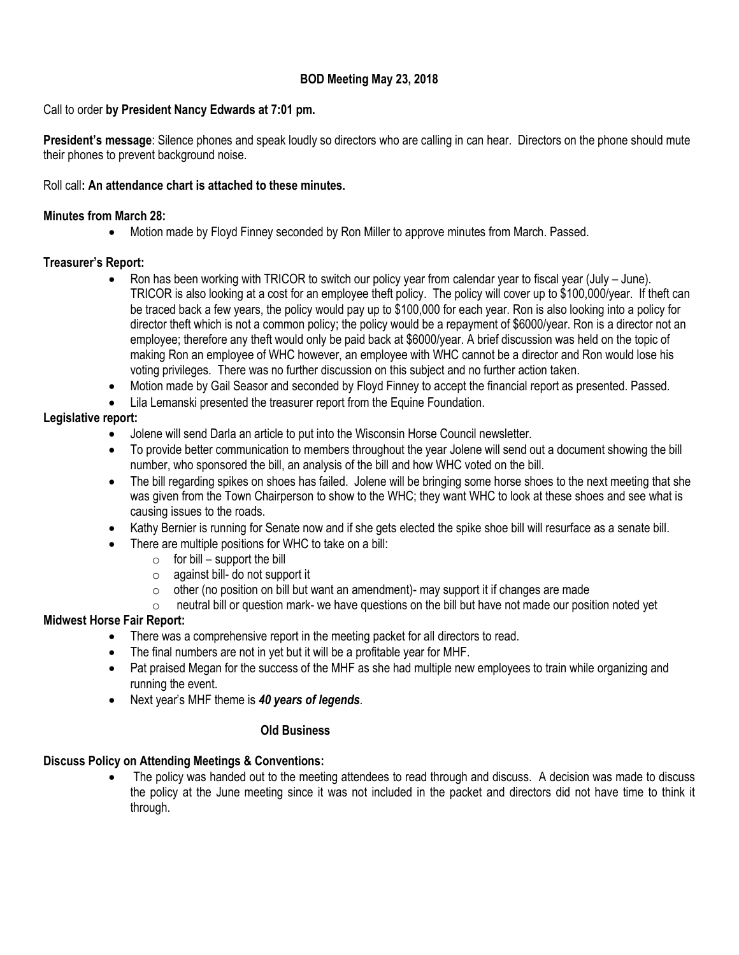# **BOD Meeting May 23, 2018**

## Call to order **by President Nancy Edwards at 7:01 pm.**

**President's message**: Silence phones and speak loudly so directors who are calling in can hear. Directors on the phone should mute their phones to prevent background noise.

#### Roll call**: An attendance chart is attached to these minutes.**

#### **Minutes from March 28:**

Motion made by Floyd Finney seconded by Ron Miller to approve minutes from March. Passed.

## **Treasurer's Report:**

- Ron has been working with TRICOR to switch our policy year from calendar year to fiscal year (July June). TRICOR is also looking at a cost for an employee theft policy. The policy will cover up to \$100,000/year. If theft can be traced back a few years, the policy would pay up to \$100,000 for each year. Ron is also looking into a policy for director theft which is not a common policy; the policy would be a repayment of \$6000/year. Ron is a director not an employee; therefore any theft would only be paid back at \$6000/year. A brief discussion was held on the topic of making Ron an employee of WHC however, an employee with WHC cannot be a director and Ron would lose his voting privileges. There was no further discussion on this subject and no further action taken.
- Motion made by Gail Seasor and seconded by Floyd Finney to accept the financial report as presented. Passed.
- Lila Lemanski presented the treasurer report from the Equine Foundation.

# **Legislative report:**

- Jolene will send Darla an article to put into the Wisconsin Horse Council newsletter.
- To provide better communication to members throughout the year Jolene will send out a document showing the bill number, who sponsored the bill, an analysis of the bill and how WHC voted on the bill.
- The bill regarding spikes on shoes has failed. Jolene will be bringing some horse shoes to the next meeting that she was given from the Town Chairperson to show to the WHC; they want WHC to look at these shoes and see what is causing issues to the roads.
- Kathy Bernier is running for Senate now and if she gets elected the spike shoe bill will resurface as a senate bill.
- There are multiple positions for WHC to take on a bill:
	- $\circ$  for bill support the bill
	- o against bill- do not support it
	- $\circ$  other (no position on bill but want an amendment)- may support it if changes are made
	- $\circ$  neutral bill or question mark- we have questions on the bill but have not made our position noted yet

## **Midwest Horse Fair Report:**

- There was a comprehensive report in the meeting packet for all directors to read.
- The final numbers are not in yet but it will be a profitable year for MHF.
- Pat praised Megan for the success of the MHF as she had multiple new employees to train while organizing and running the event.
- Next year's MHF theme is *40 years of legends*.

## **Old Business**

# **Discuss Policy on Attending Meetings & Conventions:**

 The policy was handed out to the meeting attendees to read through and discuss. A decision was made to discuss the policy at the June meeting since it was not included in the packet and directors did not have time to think it through.